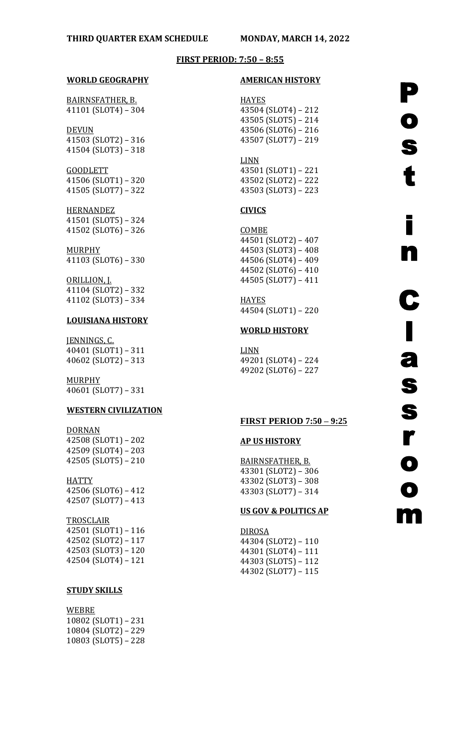### **FIRST PERIOD: 7:50 – 8:55**

### **WORLD GEOGRAPHY**

BAIRNSFATHER, B. 41101 (SLOT4) – 304

DEVUN 41503 (SLOT2) – 316 41504 (SLOT3) – 318

GOODLETT 41506 (SLOT1) – 320 41505 (SLOT7) – 322

**HERNANDEZ** 41501 (SLOT5) – 324 41502 (SLOT6) – 326

MURPHY 41103 (SLOT6) – 330

ORILLION, J. 41104 (SLOT2) – 332 41102 (SLOT3) – 334

## **LOUISIANA HISTORY**

JENNINGS, C. 40401 (SLOT1) – 311 40602 (SLOT2) – 313

**MURPHY** 40601 (SLOT7) – 331

## **WESTERN CIVILIZATION**

DORNAN 42508 (SLOT1) – 202 42509 (SLOT4) – 203 42505 (SLOT5) – 210

# **HATTY**

42506 (SLOT6) – 412 42507 (SLOT7) – 413

## **TROSCLAIR**

42501 (SLOT1) – 116 42502 (SLOT2) – 117 42503 (SLOT3) – 120 42504 (SLOT4) – 121

#### **STUDY SKILLS**

#### WEBRE

10802 (SLOT1) – 231 10804 (SLOT2) – 229 10803 (SLOT5) – 228

#### **AMERICAN HISTORY**

# **HAYES**

43504 (SLOT4) – 212 43505 (SLOT5) – 214 43506 (SLOT6) – 216 43507 (SLOT7) – 219

LINN 43501 (SLOT1) – 221 43502 (SLOT2) – 222 43503 (SLOT3) – 223

## **CIVICS**

**COMBE** 44501 (SLOT2) – 407 44503 (SLOT3) – 408 44506 (SLOT4) – 409 44502 (SLOT6) – 410 44505 (SLOT7) – 411

HAYES 44504 (SLOT1) – 220

## **WORLD HISTORY**

LINN 49201 (SLOT4) – 224 49202 (SLOT6) – 227

## **FIRST PERIOD 7:50 – 9:25**

#### **AP US HISTORY**

BAIRNSFATHER, B. 43301 (SLOT2) – 306 43302 (SLOT3) – 308 43303 (SLOT7) – 314

### **US GOV & POLITICS AP**

DIROSA 44304 (SLOT2) – 110 44301 (SLOT4) – 111 44303 (SLOT5) – 112 44302 (SLOT7) – 115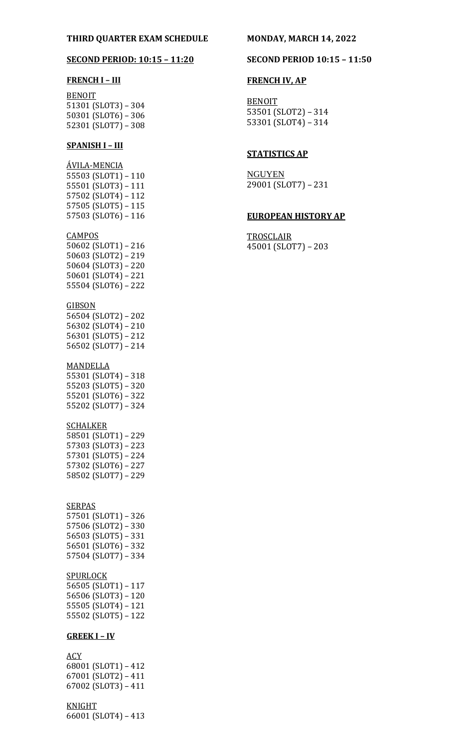## **THIRD QUARTER EXAM SCHEDULE MONDAY, MARCH 14, 2022**

## **FRENCH I – III**

BENOIT 51301 (SLOT3) – 304 50301 (SLOT6) – 306 52301 (SLOT7) – 308

## **SPANISH I – III**

ÁVILA-MENCIA 55503 (SLOT1) – 110 55501 (SLOT3) – 111 57502 (SLOT4) – 112 57505 (SLOT5) – 115 57503 (SLOT6) – 116

## **CAMPOS**

50602 (SLOT1) – 216 50603 (SLOT2) – 219 50604 (SLOT3) – 220 50601 (SLOT4) – 221 55504 (SLOT6) – 222

#### **GIBSON**

56504 (SLOT2) – 202 56302 (SLOT4) – 210 56301 (SLOT5) – 212 56502 (SLOT7) – 214

#### MANDELLA

55301 (SLOT4) – 318 55203 (SLOT5) – 320 55201 (SLOT6) – 322 55202 (SLOT7) – 324

#### **SCHALKER**

58501 (SLOT1) – 229 57303 (SLOT3) – 223 57301 (SLOT5) – 224 57302 (SLOT6) – 227 58502 (SLOT7) – 229

## **SERPAS**

57501 (SLOT1) – 326 57506 (SLOT2) – 330 56503 (SLOT5) – 331 56501 (SLOT6) – 332 57504 (SLOT7) – 334

### SPURLOCK

56505 (SLOT1) – 117 56506 (SLOT3) – 120 55505 (SLOT4) – 121 55502 (SLOT5) – 122

#### **GREEK I – IV**

**ACY** 68001 (SLOT1) – 412 67001 (SLOT2) – 411 67002 (SLOT3) – 411

## KNIGHT

66001 (SLOT4) – 413

#### **SECOND PERIOD: 10:15 – 11:20 SECOND PERIOD 10:15 – 11:50**

## **FRENCH IV, AP**

**BENOIT** 53501 (SLOT2) – 314 53301 (SLOT4) – 314

## **STATISTICS AP**

NGUYEN 29001 (SLOT7) – 231

#### **EUROPEAN HISTORY AP**

**TROSCLAIR** 45001 (SLOT7) – 203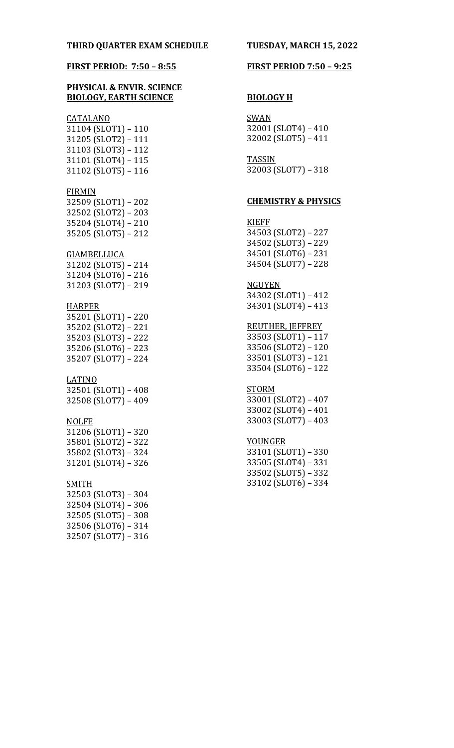## **PHYSICAL & ENVIR. SCIENCE BIOLOGY, EARTH SCIENCE**

## CATALANO

31104 (SLOT1) – 110 31205 (SLOT2) – 111 31103 (SLOT3) – 112 31101 (SLOT4) – 115 31102 (SLOT5) – 116

#### FIRMIN

 (SLOT1) – 202 (SLOT2) – 203 (SLOT4) – 210 35205 (SLOT5) – 212

## GIAMBELLUCA

31202 (SLOT5) – 214 31204 (SLOT6) – 216 31203 (SLOT7) – 219

#### HARPER

35201 (SLOT1) – 220 35202 (SLOT2) – 221 35203 (SLOT3) – 222 35206 (SLOT6) – 223 35207 (SLOT7) – 224

## LATINO

32501 (SLOT1) – 408 32508 (SLOT7) – 409

#### NOLFE

31206 (SLOT1) – 320 35801 (SLOT2) – 322 35802 (SLOT3) – 324 31201 (SLOT4) – 326

## SMITH

32503 (SLOT3) – 304 32504 (SLOT4) – 306 32505 (SLOT5) – 308 32506 (SLOT6) – 314 32507 (SLOT7) – 316

#### **FIRST PERIOD: 7:50 – 8:55 FIRST PERIOD 7:50 – 9:25**

#### **BIOLOGY H**

SWAN 32001 (SLOT4) – 410 32002 (SLOT5) – 411

TASSIN 32003 (SLOT7) – 318

#### **CHEMISTRY & PHYSICS**

## KIEFF 34503 (SLOT2) – 227 34502 (SLOT3) – 229 34501 (SLOT6) – 231 34504 (SLOT7) – 228

#### **NGUYEN**

34302 (SLOT1) – 412 34301 (SLOT4) – 413

## REUTHER, JEFFREY

 (SLOT1) – 117 (SLOT2) – 120 (SLOT3) – 121 (SLOT6) – 122

#### **STORM**

33001 (SLOT2) – 407 33002 (SLOT4) – 401 33003 (SLOT7) – 403

#### YOUNGER

33101 (SLOT1) – 330 33505 (SLOT4) – 331 33502 (SLOT5) – 332 33102 (SLOT6) – 334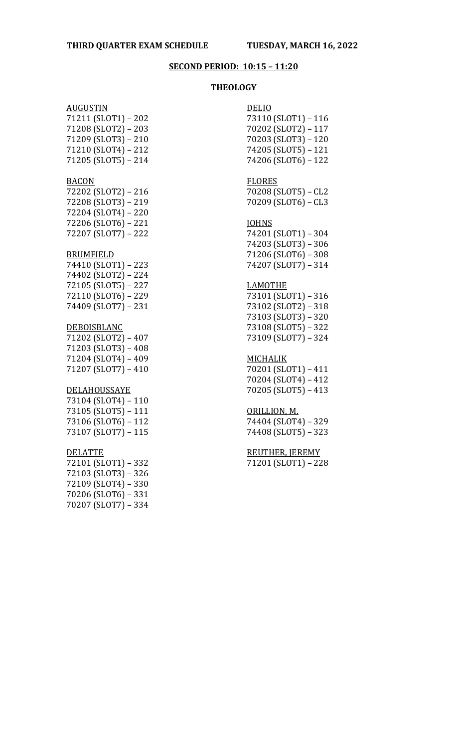## **SECOND PERIOD: 10:15 – 11:20**

## **THEOLOGY**

| <u>AUGUSTIN</u>     | <b>DELIO</b>           |
|---------------------|------------------------|
| 71211 (SLOT1) - 202 | 73110 (SLOT1) - 116    |
| 71208 (SLOT2) - 203 | 70202 (SLOT2) - 117    |
| 71209 (SLOT3) - 210 | 70203 (SLOT3) - 120    |
| 71210 (SLOT4) - 212 | 74205 (SLOT5) - 121    |
| 71205 (SLOT5) - 214 | 74206 (SLOT6) - 122    |
|                     |                        |
| <b>BACON</b>        | <b>FLORES</b>          |
| 72202 (SLOT2) - 216 | 70208 (SLOT5) - CL2    |
| 72208 (SLOT3) - 219 | 70209 (SLOT6) - CL3    |
| 72204 (SLOT4) - 220 |                        |
| 72206 (SLOT6) - 221 | <b>JOHNS</b>           |
| 72207 (SLOT7) - 222 | 74201 (SLOT1) - 304    |
|                     | 74203 (SLOT3) - 306    |
| <b>BRUMFIELD</b>    | 71206 (SLOT6) - 308    |
| 74410 (SLOT1) - 223 | 74207 (SLOT7) - 314    |
| 74402 (SLOT2) - 224 |                        |
| 72105 (SLOT5) - 227 | <b>LAMOTHE</b>         |
| 72110 (SLOT6) - 229 | 73101 (SLOT1) - 316    |
| 74409 (SLOT7) - 231 | 73102 (SLOT2) - 318    |
|                     | 73103 (SLOT3) - 320    |
| <b>DEBOISBLANC</b>  | 73108 (SLOT5) - 322    |
| 71202 (SLOT2) - 407 | 73109 (SLOT7) - 324    |
| 71203 (SLOT3) - 408 |                        |
| 71204 (SLOT4) - 409 | <b>MICHALIK</b>        |
| 71207 (SLOT7) - 410 | 70201 (SLOT1) - 411    |
|                     | 70204 (SLOT4) - 412    |
| <b>DELAHOUSSAYE</b> | 70205 (SLOT5) - 413    |
| 73104 (SLOT4) - 110 |                        |
| 73105 (SLOT5) - 111 | ORILLION, M.           |
| 73106 (SLOT6) - 112 | 74404 (SLOT4) - 329    |
| 73107 (SLOT7) - 115 | 74408 (SLOT5) - 323    |
| <b>DELATTE</b>      | <b>REUTHER, JEREMY</b> |
| 72101 (SLOT1) - 332 | 71201 (SLOT1) - 228    |
| 72103 (SLOT3) - 326 |                        |
|                     |                        |
| 72109 (SLOT4) - 330 |                        |
| 70206 (SLOT6) - 331 |                        |
| 70207 (SLOT7) - 334 |                        |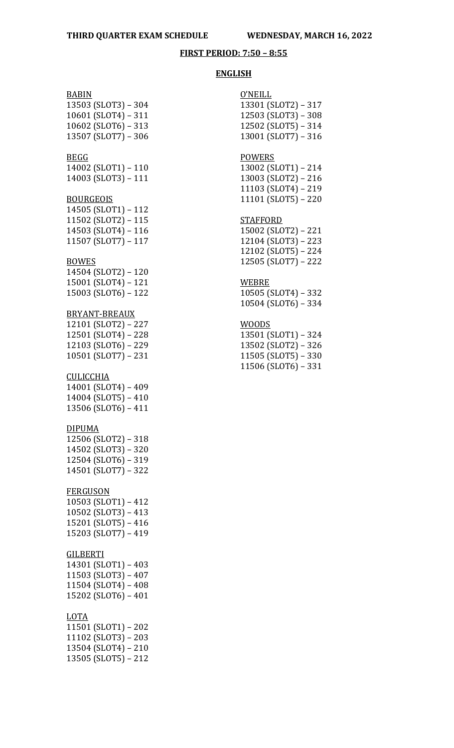## **FIRST PERIOD: 7:50 – 8:55**

#### **ENGLISH**

## BABIN

13503 (SLOT3) – 304 (SLOT4) – 311 (SLOT6) – 313 (SLOT7) – 306

## BEGG

14002 (SLOT1) – 110 14003 (SLOT3) – 111

#### **BOURGEOIS**

14505 (SLOT1) – 112 11502 (SLOT2) – 115 14503 (SLOT4) – 116 11507 (SLOT7) – 117

#### **BOWES**

14504 (SLOT2) – 120 15001 (SLOT4) – 121 15003 (SLOT6) – 122

## BRYANT-BREAUX

12101 (SLOT2) – 227 12501 (SLOT4) – 228 12103 (SLOT6) – 229 10501 (SLOT7) – 231

## **CULICCHIA**

14001 (SLOT4) – 409 14004 (SLOT5) – 410 13506 (SLOT6) – 411

#### DIPUMA

12506 (SLOT2) – 318 14502 (SLOT3) – 320 12504 (SLOT6) – 319 14501 (SLOT7) – 322

### FERGUSON

10503 (SLOT1) – 412 10502 (SLOT3) – 413 15201 (SLOT5) – 416 15203 (SLOT7) – 419

#### **GILBERTI**

 (SLOT1) – 403 (SLOT3) – 407 (SLOT4) – 408 (SLOT6) – 401

#### LOTA

11501 (SLOT1) – 202 11102 (SLOT3) – 203 13504 (SLOT4) – 210 13505 (SLOT5) – 212

| O'NEILL             |
|---------------------|
| 13301 (SLOT2) – 317 |
| 12503 (SLOT3) - 308 |
| 12502 (SLOT5) - 314 |
| 13001 (SLOT7) – 316 |
|                     |

## POWERS

13002 (SLOT1) – 214 13003 (SLOT2) – 216 11103 (SLOT4) – 219 11101 (SLOT5) – 220

## **STAFFORD**

15002 (SLOT2) – 221 12104 (SLOT3) – 223 12102 (SLOT5) – 224 12505 (SLOT7) – 222

# WEBRE

10505 (SLOT4) – 332 10504 (SLOT6) – 334

#### WOODS

13501 (SLOT1) – 324 13502 (SLOT2) – 326 11505 (SLOT5) – 330 11506 (SLOT6) – 331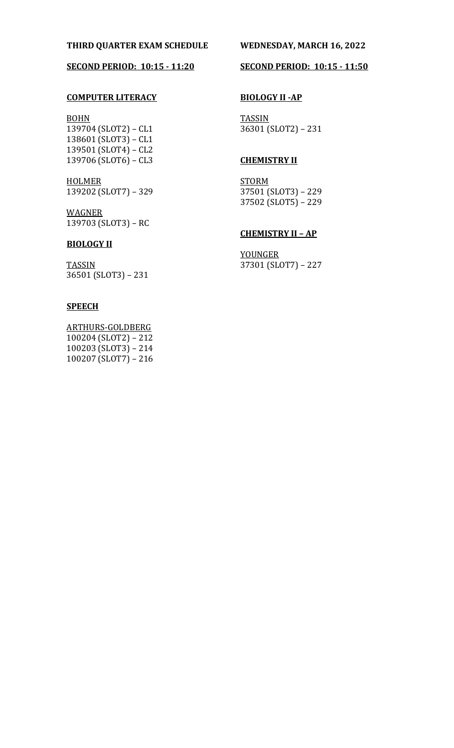## **THIRD QUARTER EXAM SCHEDULE WEDNESDAY, MARCH 16, 2022**

## **SECOND PERIOD: 10:15 - 11:20**

## **COMPUTER LITERACY**

BOHN 139704 (SLOT2) – CL1 138601 (SLOT3) – CL1 139501 (SLOT4) – CL2 139706 (SLOT6) – CL3

**HOLMER** 139202 (SLOT7) – 329

WAGNER 139703 (SLOT3) – RC

## **BIOLOGY II**

**TASSIN** 36501 (SLOT3) – 231

## **SPEECH**

ARTHURS-GOLDBERG 100204 (SLOT2) – 212 100203 (SLOT3) – 214 100207 (SLOT7) – 216

## **SECOND PERIOD: 10:15 - 11:50**

## **BIOLOGY II -AP**

**TASSIN** 36301 (SLOT2) – 231

## **CHEMISTRY II**

**STORM** 37501 (SLOT3) – 229 37502 (SLOT5) – 229

## **CHEMISTRY II – AP**

YOUNGER 37301 (SLOT7) – 227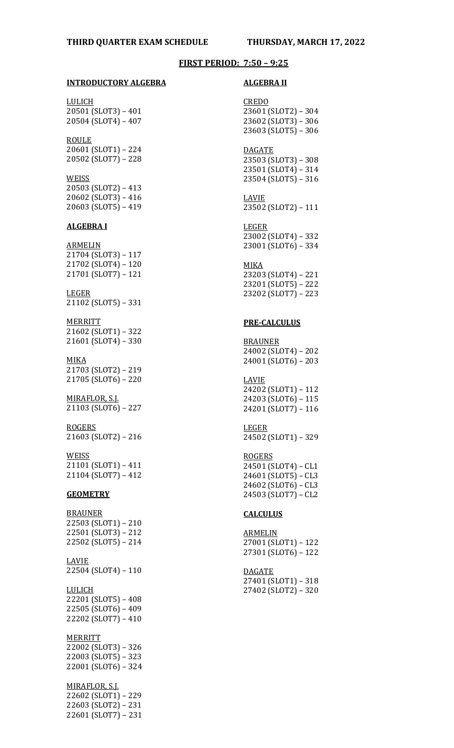#### **FIRST PERIOD: 7:50 – 9:25**

#### **INTRODUCTORY ALGEBRA**

LULICH 20501 (SLOT3) – 401 20504 (SLOT4) – 407

ROULE 20601 (SLOT1) – 224 20502 (SLOT7) – 228

#### **WEISS**

20503 (SLOT2) – 413 20602 (SLOT3) – 416 20603 (SLOT5) – 419

#### **ALGEBRA I**

ARMELIN 21704 (SLOT3) – 117 21702 (SLOT4) – 120 21701 (SLOT7) – 121

#### LEGER 21102 (SLOT5) – 331

MERRITT 21602 (SLOT1) – 322 21601 (SLOT4) – 330

#### MIKA

21703 (SLOT2) – 219 21705 (SLOT6) – 220

MIRAFLOR, S.J. 21103 (SLOT6) – 227

ROGERS 21603 (SLOT2) – 216

## WEISS

21101 (SLOT1) – 411 21104 (SLOT7) – 412

## **GEOMETRY**

BRAUNER 22503 (SLOT1) – 210 22501 (SLOT3) – 212 22502 (SLOT5) – 214

LAVIE 22504 (SLOT4) – 110

## LULICH

22201 (SLOT5) – 408 22505 (SLOT6) – 409 22202 (SLOT7) – 410

**MERRITT** 

22002 (SLOT3) – 326 22003 (SLOT5) – 323 22001 (SLOT6) – 324

MIRAFLOR, S.J. 22602 (SLOT1) – 229 22603 (SLOT2) – 231 22601 (SLOT7) – 231

#### **ALGEBRA II**

CREDO 23601 (SLOT2) – 304 23602 (SLOT3) – 306 23603 (SLOT5) – 306

### DAGATE 23503 (SLOT3) – 308 23501 (SLOT4) – 314 23504 (SLOT5) – 316

LAVIE 23502 (SLOT2) – 111

#### LEGER

23002 (SLOT4) – 332 23001 (SLOT6) – 334

#### MIKA

23203 (SLOT4) – 221 23201 (SLOT5) – 222 23202 (SLOT7) – 223

#### **PRE-CALCULUS**

BRAUNER 24002 (SLOT4) – 202 24001 (SLOT6) – 203

## LAVIE

24202 (SLOT1) – 112 24203 (SLOT6) – 115 24201 (SLOT7) – 116

LEGER 24502 (SLOT1) – 329

#### ROGERS

24501 (SLOT4) – CL1 24601 (SLOT5) – CL3 24602 (SLOT6) – CL3 24503 (SLOT7) – CL2

#### **CALCULUS**

**ARMELIN** 27001 (SLOT1) – 122 27301 (SLOT6) – 122

DAGATE 27401 (SLOT1) – 318

27402 (SLOT2) – 320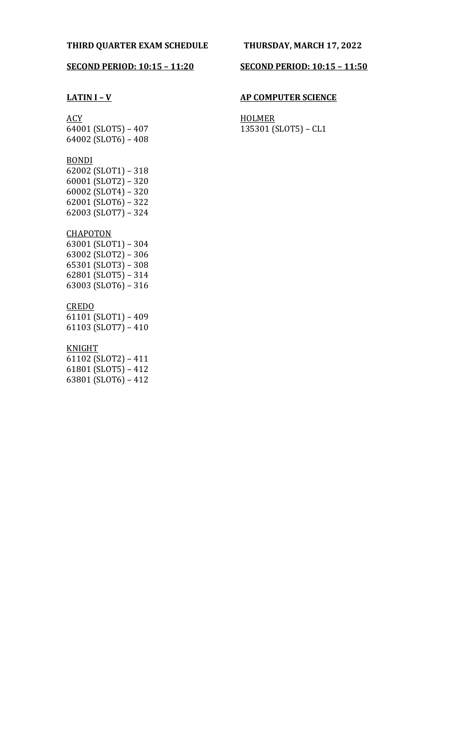## **SECOND PERIOD: 10:15 – 11:20**

## **LATIN I – V**

## ACY

64001 (SLOT5) – 407 64002 (SLOT6) – 408

## BONDI

62002 (SLOT1) – 318 60001 (SLOT2) – 320 60002 (SLOT4) – 320 62001 (SLOT6) – 322 62003 (SLOT7) – 324

## **CHAPOTON**

63001 (SLOT1) – 304 63002 (SLOT2) – 306 65301 (SLOT3) – 308 62801 (SLOT5) – 314 63003 (SLOT6) – 316

## CREDO

61101 (SLOT1) – 409 61103 (SLOT7) – 410

## KNIGHT

61102 (SLOT2) – 411 61801 (SLOT5) – 412 63801 (SLOT6) – 412

## **SECOND PERIOD: 10:15 – 11:50**

## **AP COMPUTER SCIENCE**

**HOLMER** 135301 (SLOT5) – CL1